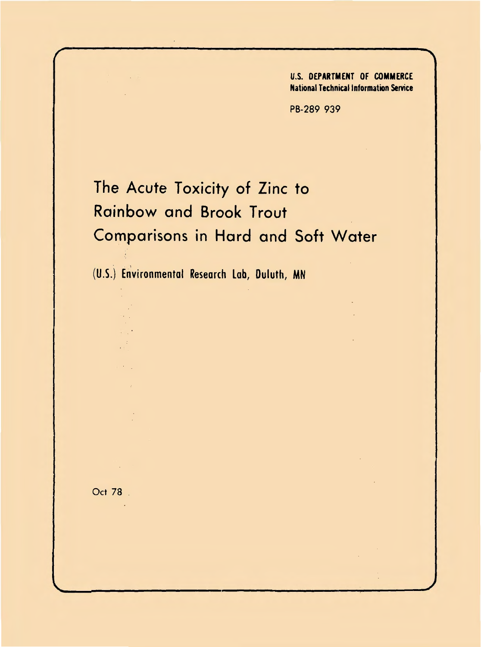U.S. DEPARTMENT OF COMMERCE National Technical Information Service

PB-289 939

## The Acute Toxicity of Zinc to Rainbow and Brook Trout Comparisons in Hard and Soft Water

(U.S.) Environmental Research Lob, Duluth, MN

Oct 78 .

o.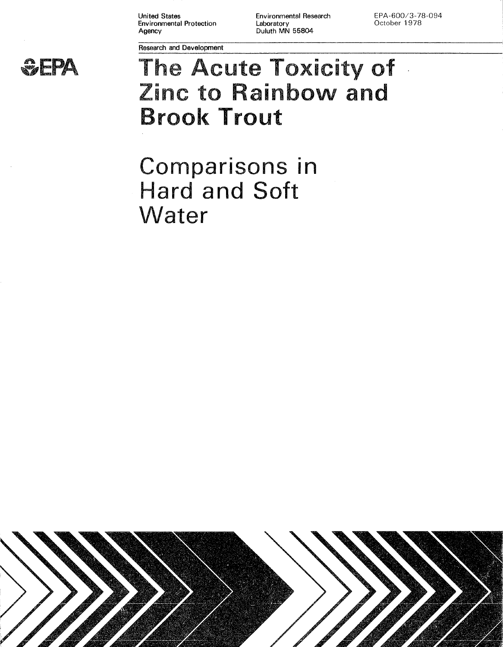United States Environmental Protection Agency

Research and Development

Environmental Research Laboratory Duluth MN 55804

EPA-600/3-78-094 October 1978



# Laboratory October 1978<br>
Duluth MN 55804<br>  $\frac{1}{2}$ The Acute Toxicity of Zinc to Rainbow and Brool< Trout

Comparisons in Hard and Soft Water

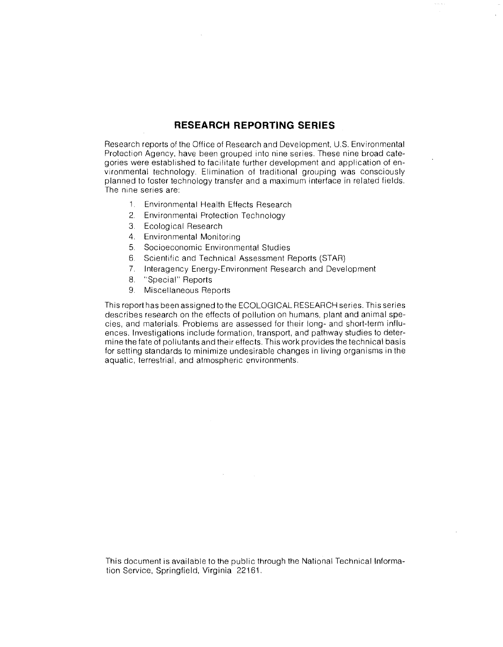### **RESEARCH REPORTING SERIES**

Research reports of the Office of Research and Development, U.S. Environmental Protection Agency, have been grouped into nine series. These nine broad categories were established to facilitate further development and application of environmental technology. Elimination of traditional grouping was consciously planned to foster technology transfer and a maximum interface in related fields. The nine series are:

- 1. Environmental Health Effects Research
- 2. Environmental Protection Technology
- 3. Ecological Research
- 4. Environmental Monitoring
- 5. Socioeconomic Environmental Studies
- 6. Scientific and Technical Assessment Reports (STAR)
- 7. lnteragency Energy-Environment Research and Development
- 8. "Special" Reports
- 9. Miscellaneous Reports

This report has been assigned to the ECOLOGICAL RESEARCH series. This series describes research on the effects of pollution on humans, plant and animal species, and materials. Problems are assessed for their long- and short-term influences. Investigations include formation, transport, and pathway studies to determine the fate of pollutants and their effects. This work provides the technical basis for setting standards to minimize undesirable changes in living organisms in the aquatic, terrestrial. and atmospheric environments.

This document is available to the public through the National Technical Information Service, Springfield, Virginia 22161.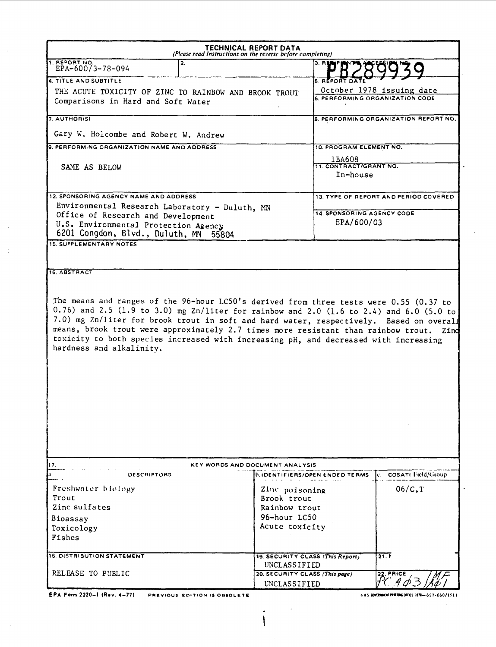| TECHNICAL REPORT DATA<br>(Please read Instructions on the reverse before completing)                                                                                                                                                                                                                                                                                                      |                                                  |                                                              |  |  |  |  |  |  |  |  |  |
|-------------------------------------------------------------------------------------------------------------------------------------------------------------------------------------------------------------------------------------------------------------------------------------------------------------------------------------------------------------------------------------------|--------------------------------------------------|--------------------------------------------------------------|--|--|--|--|--|--|--|--|--|
| 1. REPORT NO.<br>$\overline{2}$ .<br>EPA-60073-78-094                                                                                                                                                                                                                                                                                                                                     | 3. R <b>u</b>                                    |                                                              |  |  |  |  |  |  |  |  |  |
| 4. TITLE AND SUBTITLE                                                                                                                                                                                                                                                                                                                                                                     | <b>5. REPORT DATE</b>                            |                                                              |  |  |  |  |  |  |  |  |  |
| THE ACUTE TOXICITY OF ZINC TO RAINBOW AND BROOK TROUT<br>Comparisons in Hard and Soft Water                                                                                                                                                                                                                                                                                               |                                                  | October 1978 issuing date<br>6. PERFORMING ORGANIZATION CODE |  |  |  |  |  |  |  |  |  |
| 7. AUTHOR(S)                                                                                                                                                                                                                                                                                                                                                                              |                                                  | <b>8. PERFORMING ORGANIZATION REPORT NO.</b>                 |  |  |  |  |  |  |  |  |  |
| Gary W. Holcombe and Robert W. Andrew                                                                                                                                                                                                                                                                                                                                                     |                                                  |                                                              |  |  |  |  |  |  |  |  |  |
| 9. PERFORMING ORGANIZATION NAME AND ADDRESS                                                                                                                                                                                                                                                                                                                                               | 10. PROGRAM ELEMENT NO.                          |                                                              |  |  |  |  |  |  |  |  |  |
| SAME AS BELOW                                                                                                                                                                                                                                                                                                                                                                             | 1BA608<br>11. CONTRACT/GRANT NO.<br>In-house     |                                                              |  |  |  |  |  |  |  |  |  |
| 12. SPONSORING AGENCY NAME AND ADDRESS                                                                                                                                                                                                                                                                                                                                                    |                                                  | 13. TYPE OF REPORT AND PERIOD COVERED                        |  |  |  |  |  |  |  |  |  |
| Environmental Research Laboratory - Duluth, MN                                                                                                                                                                                                                                                                                                                                            |                                                  |                                                              |  |  |  |  |  |  |  |  |  |
| Office of Research and Development<br>U.S. Environmental Protection Agency<br>6201 Congdon, Blvd., Duluth, MN<br>55804                                                                                                                                                                                                                                                                    | <b>14. SPONSORING AGENCY CODE</b><br>EPA/600/03  |                                                              |  |  |  |  |  |  |  |  |  |
| <b>16. ABSTRACT</b><br>The means and ranges of the 96-hour LC50's derived from three tests were 0.55 (0.37 to<br>0.76) and 2.5 (1.9 to 3.0) mg Zn/liter for rainbow and 2.0 (1.6 to 2.4) and 6.0 (5.0 to<br>7.0) mg Zn/liter for brook trout in soft and hard water, respectively. Based on overall<br>means, brook trout were approximately 2.7 times more resistant than rainbow trout. |                                                  | Zind                                                         |  |  |  |  |  |  |  |  |  |
| toxicity to both species increased with increasing pH, and decreased with increasing<br>hardness and alkalinity.                                                                                                                                                                                                                                                                          |                                                  |                                                              |  |  |  |  |  |  |  |  |  |
| 17.                                                                                                                                                                                                                                                                                                                                                                                       | KEY WORDS AND DOCUMENT ANALYSIS                  |                                                              |  |  |  |  |  |  |  |  |  |
| DESCRIPTORS                                                                                                                                                                                                                                                                                                                                                                               | <b>b.IDENTIFIERS/OPEN ENDED TERMS</b>            | c. COSATI Field/Group                                        |  |  |  |  |  |  |  |  |  |
| Freshwater biology                                                                                                                                                                                                                                                                                                                                                                        | Zinc poisoning                                   | 06/C, T                                                      |  |  |  |  |  |  |  |  |  |
| Trout                                                                                                                                                                                                                                                                                                                                                                                     | Brook trout                                      |                                                              |  |  |  |  |  |  |  |  |  |
| Zinc sulfates                                                                                                                                                                                                                                                                                                                                                                             | Rainbow trout                                    |                                                              |  |  |  |  |  |  |  |  |  |
| Bioassay                                                                                                                                                                                                                                                                                                                                                                                  | 96-hour LC50                                     |                                                              |  |  |  |  |  |  |  |  |  |
| Toxicology<br>Fishes                                                                                                                                                                                                                                                                                                                                                                      | Acute toxicity                                   |                                                              |  |  |  |  |  |  |  |  |  |
|                                                                                                                                                                                                                                                                                                                                                                                           |                                                  |                                                              |  |  |  |  |  |  |  |  |  |
| 18. DISTRIBUTION STATEMENT                                                                                                                                                                                                                                                                                                                                                                | 19. SECURITY CLASS (This Report)<br>UNCLASSIFIED | 21.6                                                         |  |  |  |  |  |  |  |  |  |
| RELEASE TO PUBLIC                                                                                                                                                                                                                                                                                                                                                                         | 20. SECURITY CLASS (This page)<br>UNCLASSIFIED   | $22.$ PRICE<br>HC 4Þ3.                                       |  |  |  |  |  |  |  |  |  |
|                                                                                                                                                                                                                                                                                                                                                                                           |                                                  |                                                              |  |  |  |  |  |  |  |  |  |

 $\ddot{\phantom{0}}$ 1

**EPA** Form 2220-1 (Rev. 4-77) **PREVIOUS EOITtON IS OBSOLETE** 

e U.S. GOVERNMENT PRINTING OFFICE 1978-657-060/1511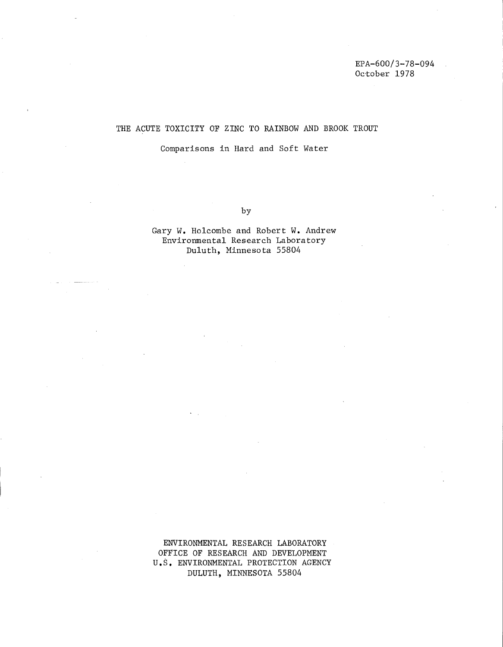#### THE ACUTE TOXICITY OF ZINC TO RAINBOW AND BROOK TROUT

Comparisons in Hard and Soft Water

by

Gary W. Holcombe and Robert W. Andrew Environmental Research Laboratory Duluth, Minnesota 55804

ENVIRONMENTAL RESEARCH LABORATORY OFFICE OF RESEARCH AND DEVELOPMENT U.S. ENVIRONMENTAL PROTECTION AGENCY DULUTH, MINNESOTA 55804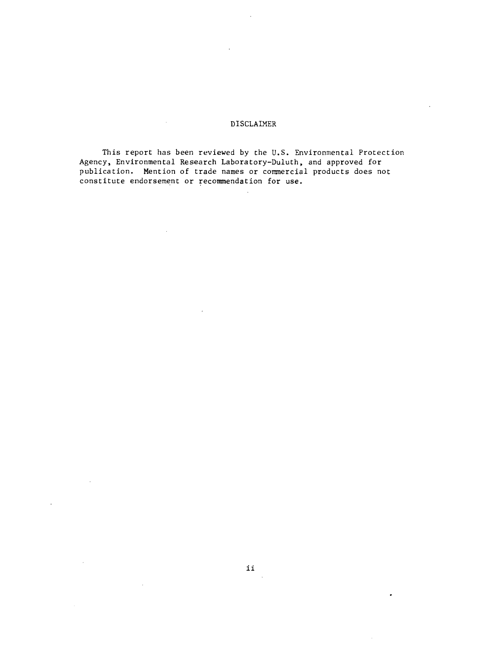#### DISCLAIMER

This report has been reviewed by the U.S. Environmental Protection Agency, Environmental Research Laboratory-Duluth, and approved for publication. Mention of trade names or commercial products does not constitute endorsement or recommendation for use.

 $\mathcal{A}$ 

 $\sim 50$ 

 $\mathcal{L}_{\mathcal{F}}$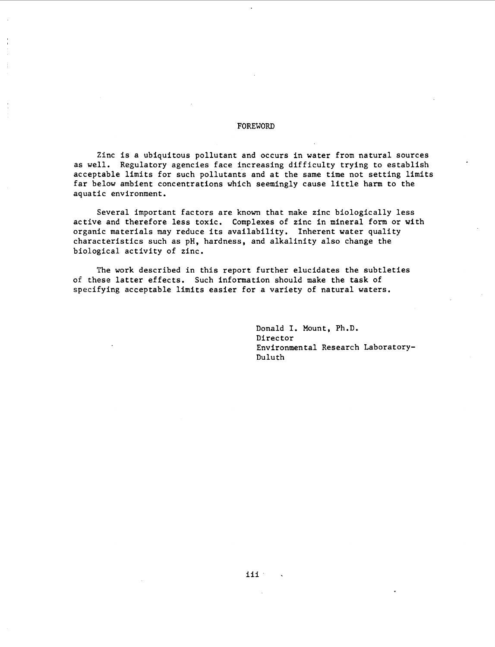#### FOREWORD

Zinc is a ubiquitous pollutant and occurs in water from natural sources as well. Regulatory agencies face increasing difficulty trying to establish acceptable limits for such pollutants and at the same time not setting limits far below ambient concentrations which seemingly cause little harm to the aquatic environment.

Several important factors are known that make zinc biologically less active and therefore less toxic. Complexes of zinc in mineral form or with organic materials may reduce its availability. Inherent water quality characteristics such as pH, hardness, and alkalinity also change the biological activity of zinc.

The work described in this report further elucidates the subtleties of these latter effects. Such information should make the task of specifying acceptable limits easier for a variety of natural waters.

> Donald I. Mount, Ph.D. Director Environmental Research Laboratory-Duluth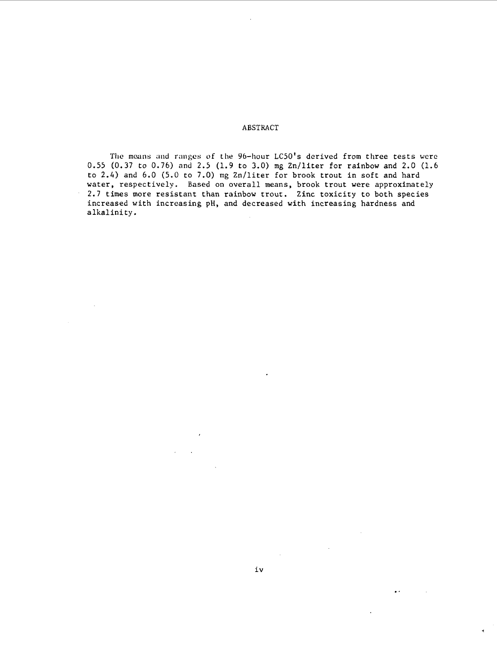ABSTRACT

The means and ranges of the 96-hour LC50's derived from three tests were 0.55 (0.37 to 0.76) and 2.5 (1.9 to 3.0) mg Zn/liter for rainbow and 2.0 (1.6 to 2.4) and 6.0 (5.0 to 7.0) mg Zn/liter for brook trout in soft and hard water, respectively. Based on overall means, brook trout were approximately 2.7 times more resistant than rainbow trout. Zinc toxicity to both species increased with increasing pH, and decreased with increasing hardness and alkalinity.

 $\bar{\bar{z}}$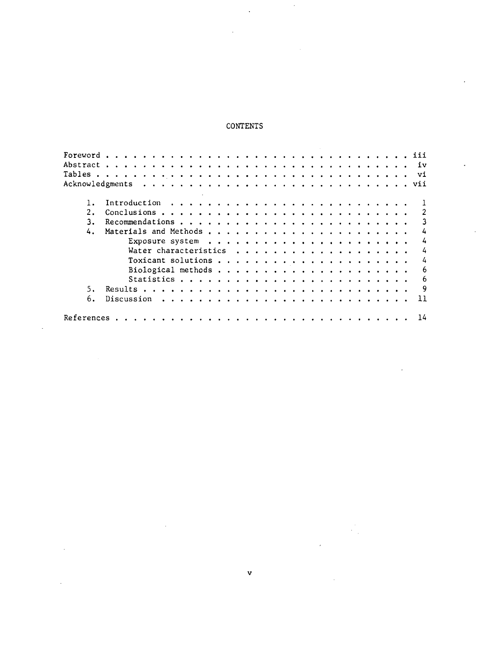## CONTENTS

 $\ddot{\phantom{0}}$ 

 $\ddot{\phantom{0}}$ 

| 2. |  |  |  |  |  |  |  |  |  |  |  |  |  |  |  |    |
|----|--|--|--|--|--|--|--|--|--|--|--|--|--|--|--|----|
| 3. |  |  |  |  |  |  |  |  |  |  |  |  |  |  |  |    |
| 4. |  |  |  |  |  |  |  |  |  |  |  |  |  |  |  |    |
|    |  |  |  |  |  |  |  |  |  |  |  |  |  |  |  |    |
|    |  |  |  |  |  |  |  |  |  |  |  |  |  |  |  | 4  |
|    |  |  |  |  |  |  |  |  |  |  |  |  |  |  |  | 4  |
|    |  |  |  |  |  |  |  |  |  |  |  |  |  |  |  | 6  |
|    |  |  |  |  |  |  |  |  |  |  |  |  |  |  |  | 6  |
| 5. |  |  |  |  |  |  |  |  |  |  |  |  |  |  |  | 9  |
| 6. |  |  |  |  |  |  |  |  |  |  |  |  |  |  |  | 11 |
|    |  |  |  |  |  |  |  |  |  |  |  |  |  |  |  | 14 |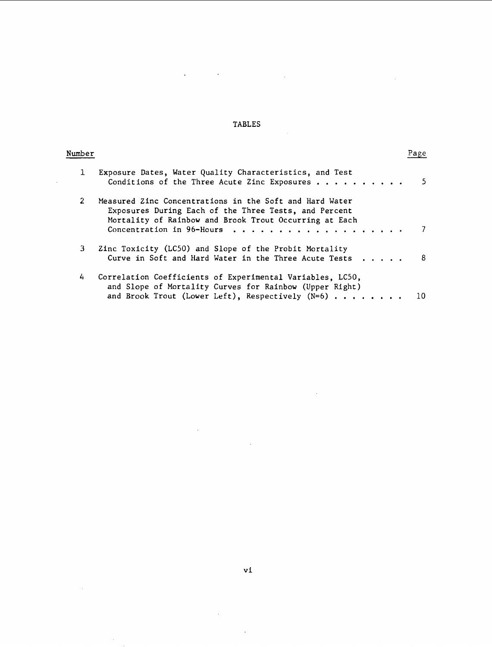## TABLES

 $\sim 10^6$ 

 $\bar{.}$ 

 $\overline{1}$ 

l,

 $\sim$ 

 $\hat{\mathcal{A}}$  $\sim$   $\sim$ 

| Number         |                                                                                                                                                                                                                         | rage |
|----------------|-------------------------------------------------------------------------------------------------------------------------------------------------------------------------------------------------------------------------|------|
| 1.             | Exposure Dates, Water Quality Characteristics, and Test<br>Conditions of the Three Acute Zinc Exposures                                                                                                                 | 5    |
| $\overline{2}$ | Measured Zinc Concentrations in the Soft and Hard Water<br>Exposures During Each of the Three Tests, and Percent<br>Mortality of Rainbow and Brook Trout Occurring at Each<br>Concentration in 96-Hours<br>. <b>.</b> . |      |
| 3.             | Zinc Toxicity (LC50) and Slope of the Probit Mortality<br>Curve in Soft and Hard Water in the Three Acute Tests                                                                                                         | 8    |
| 4              | Correlation Coefficients of Experimental Variables, LC50,<br>and Slope of Mortality Curves for Rainbow (Upper Right)<br>and Brook Trout (Lower Left), Respectively $(N=6)$                                              | 10   |

vi

 $\hat{\mathbf{v}}$ 

 $\hat{\mathcal{A}}$ 

 $\ddot{\phantom{a}}$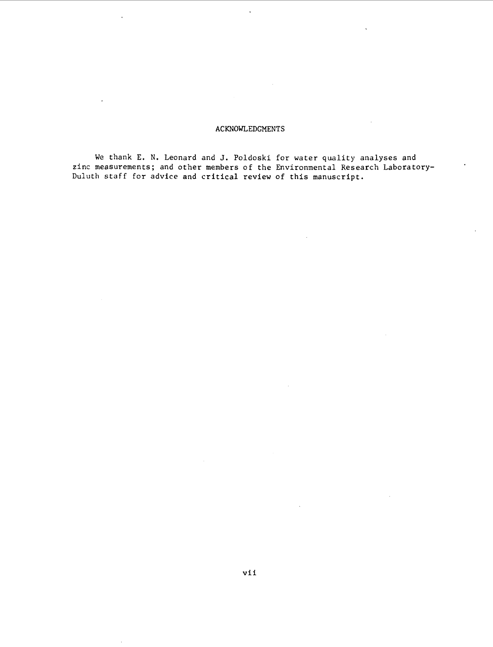#### ACKNOWLEDGMENTS

 $\ddot{\phantom{0}}$ 

 $\ddot{\phantom{a}}$ 

 $\ddot{\phantom{0}}$ 

We thank E. N. Leonard and J. Poldoski for water quality analyses and zinc measurements; and other members of the Environmental Research Laboratory-Duluth staff for advice and critical review of this manuscript.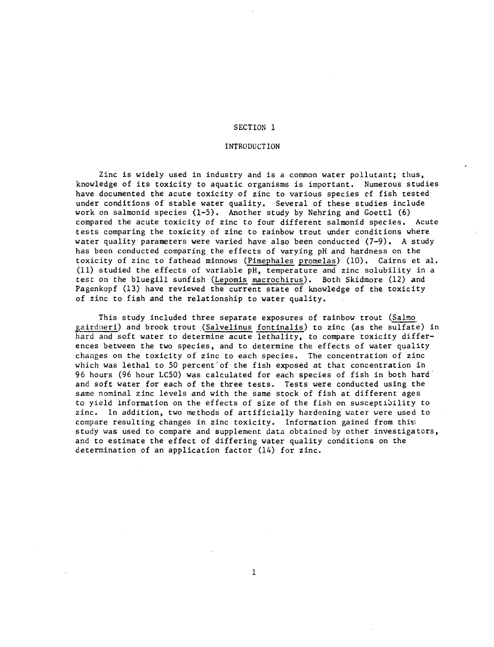#### INTRODUCTION

Zinc is widely used in industry and is a common water pollutant; thus, knowledge of its toxicity to aquatic organisms is important. Numerous studies have documented the acute toxicity of zinc to various species cf fish tested under conditions of stable water quality. Several of these studies include work on salmonid species (1-5). Another study by Nehring and Goettl (6) compared the acute toxicity of zinc to four different salmonid species. Acute tests comparing the toxicity of zinc to rainbow trout under conditions where water quality parameters were varied have also been conducted (7-9). A study has been conducted comparing the effects of varying pH and hardness on the toxicity of zinc to fathead minnows (Pimephales promelas) (10). Cairns et al. (11) studied the effects of variable pH, temperature and zinc solubility in a test on the bluegill sunfish (Lepomis macrochirus). Both Skidmore (12) and Pagenkopf (13) have reviewed the current state of knowledge of the toxicity of zinc to fish and the relationship to water quality.

This study included three separate exposures of rainbow trout (Salmo gairdneri) and brook trout (Salvelinus fontinalis) to zinc (as the sulfate) in hard and soft water to determine acute lethality, to compare toxicity differences between the two species, and to determine the effects of water quality changes on the toxicity of zinc to each species. The concentration of zinc which was lethal to 50 percent'of the fish exposed at that concentration in 96 hours (96 hour LCSO) was calculated for each species of fish in both hard· and soft water for each of the three tests. Tests were conducted using the same nominal zinc levels and with the same stock of fish at different ages to yield information on the effects of size of the fish on susceptibility to zinc. In addition, two methods of artificially hardening water were used to compare resulting changes in zinc toxicity. Information gained from this study was used to compare and supplement data obtained by other investigators, and to estimate the effect of differing water quality conditions on the determination of an application factor (14) for zinc.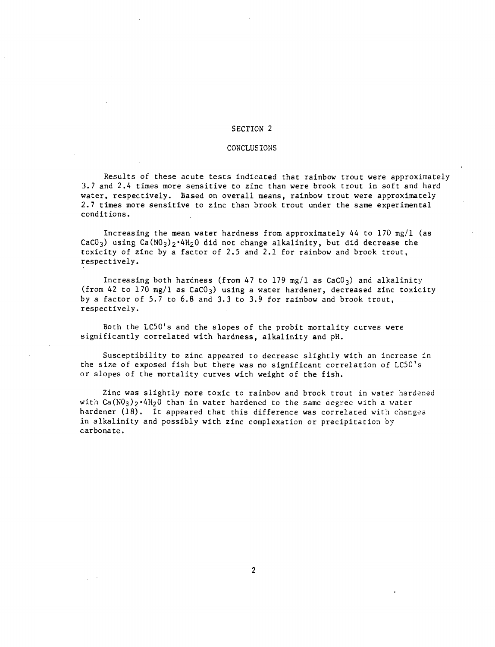#### CONCLUSIONS

Results of these acute tests indicated that rainbow trout were approximately 3.7 and 2.4 times more sensitive to zinc than were brook trout in soft and hard water, respectively. Based on overall means, rainbow trout were approximately 2.7 times more sensitive to zinc than brook trout under the same experimental conditions.

Increasing the mean water hardness from approximately 44 to 170 mg/l (as CaCO<sub>3</sub>) using Ca(NO<sub>3</sub>)<sub>2</sub>·4H<sub>2</sub>O did not change alkalinity, but did decrease the toxicity of zinc by *a* factor of 2.5 and 2.1 for rainbow and brook trout, respectively.

Increasing both hardness (from 47 to 179 mg/1 as  $CaCO<sub>3</sub>$ ) and alkalinity (from 42 to 170 mg/las CaC03) using *a* water hardener, decreased zinc toxicity by *a* factor of 5.7 to 6.8 and 3.3 to 3.9 for rainbow and brook trout, respectively.

Both the LC50's and the slopes of the probit mortality curves were significantly correlated with hardness, alkalinity and pH.

Susceptibility to zinc appeared to decrease slightly with an increase in the size of exposed fish but there was no significant correlation of LC50's or slopes of the mortality curves with weight of the fish.

Zinc was slightly more toxic to rainbow and brook trout in water hardened with  $Ca(N0<sub>3</sub>)<sub>2</sub>·4H<sub>2</sub>O$  than in water hardened to the same degree with a water hardener  $(18)$ . It appeared that this difference was correlated with changes in alkalinity and possibly with zinc complexation or precipitation by carbonate.

2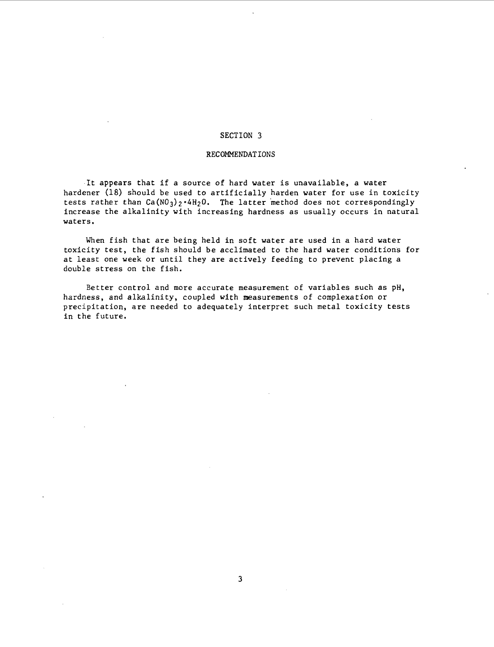#### RECOMMENDATIONS

It appears that if a source of hard water is unavailable, a water hardener (18) should be used to artificially harden water for use in toxicity tests rather than  $Ca(NO<sub>3</sub>)<sub>2</sub>·4H<sub>2</sub>O$ . The latter method does not correspondingly increase the alkalinity with increasing hardness as usually occurs in natural waters.

When fish that are being held in soft water are used in a hard water toxicity test, the fish should be acclimated to the hard water conditions for at least one week or until they are actively feeding to prevent placing a double stress on the fish.

Better control and more accurate measurement of variables such as pH, hardness, and alkalinity, coupled with measurements of complexation or precipitation, are needed to adequately interpret such metal toxicity tests in the future.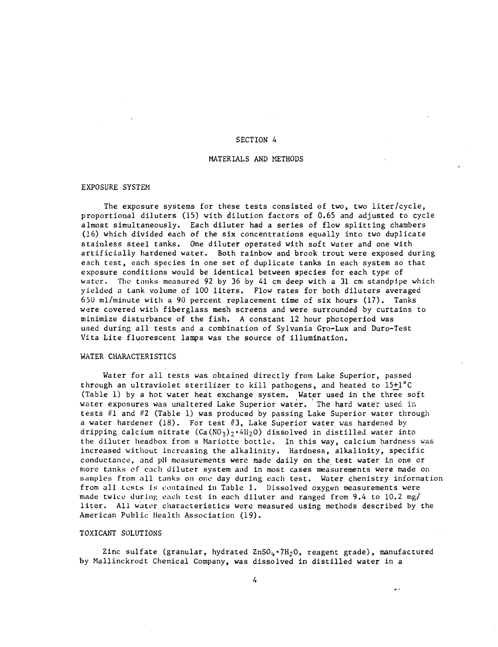#### MATERIALS AND METHODS

#### EXPOSURE SYSTEM

The exposure systems for these tests consisted of two, two liter/cycle, proportional diluters (15) with dilution factors of 0.65 and adjusted to cycle almost simultaneously. Each diluter had a series of flow splitting chambers (16) which divided each of the six concentrations equally into two duplicate stainless steel tanks. One diluter operated with soft water and one with artificially hardened water. Both rainbow and brook trout were exposed during each test, each species in one set of duplicate tanks in each system so that exposure conditions would be identical between species for each type of water. The tanks measured 92 by 36 by 41 cm deep with a 31 cm standpipe which yielded a tank volume of 100 liters. Flow rates for both diluters averaged 650 ml/minute with a 90 percent replacement time of six hours (17). Tanks were covered with fiberglass mesh screens and were surrounded by curtains to minimize disturbance of the fish. A constant 12 hour photoperiod was used during all tests and a combination of Sylvania Gro-Lux and Duro-Test Vita Lite fluorescent lamps was the source of illumination.

#### WATER CHARACTERISTICS

Water for all tests was obtained directly from Lake Superior, passed through an ultraviolet sterilizer to kill pathogens, and heated to 15+1°C (Table 1) by a hot water heat exchange system. Water used in the three soft water exposures was unaltered Lake Superior water. The hard water used in tests #1 and #2 (Table 1) was produced by passing Lake Superior water through a water hardener (18). For test  $#3$ , Lake Superior water was hardened by dripping calcium nitrate (Ca(NO<sub>3</sub>)<sub>2</sub>.4H<sub>2</sub>O) dissolved in distilled water into the diluter headbox from a Mariotte bottle. In this way, calcium hardness was increased without increasing the alkalinity. Hardness, alkalinity, specific conductance, and pH measurements were made daily on the test water in one or more tanks of each diluter system and in most cases measurements were made on samples from all tanks on one day during each test. Water chemistry information from all tests is contained in Table 1. Dissolved oxygen measurements were made twice during each test in each diluter and ranged from  $9.4$  to  $10.2$  mg/ liter. All water characteristics were measured using methods described by the American Public Health Association (19).

#### TOXICANT SOLUTIONS

Zinc sulfate (granular, hydrated  $\text{ZnSO}_4$  ·7H<sub>2</sub>O, reagent grade), manufactured by Mallinckrodt Chemical Company, was dissolved in distilled water in a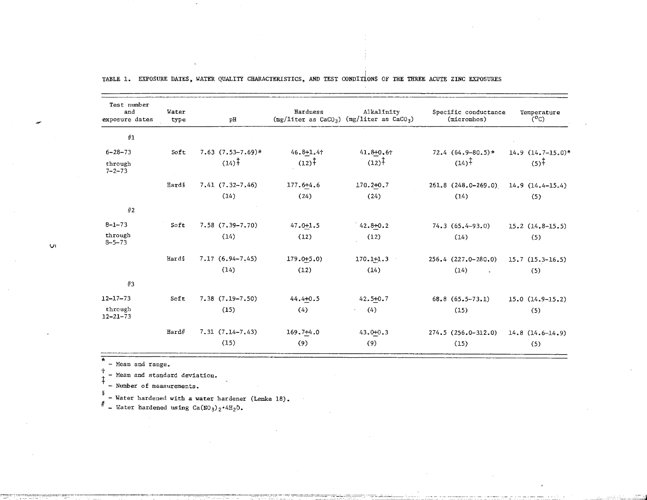| Test number<br>and<br>exposure dates | Water<br>type | рH                      | Hardness          | Alkalinity<br>$(mg/liter as CaCO3)$ $(mg/liter as CaCO3)$ | Specific conductance<br>(micromhos) | Temperature<br>$(C^{\circ}C)$ |
|--------------------------------------|---------------|-------------------------|-------------------|-----------------------------------------------------------|-------------------------------------|-------------------------------|
| #1                                   |               |                         |                   |                                                           |                                     |                               |
| $6 - 28 - 73$                        | Soft          | $7.63$ $(7.53 - 7.69)*$ | $46.8 + 1.4 +$    | $41.8 + 0.6 +$                                            | $72.4$ $(64.9 - 80.5)$ *            | $14.9$ $(14.7 - 15.0)$ *      |
| through<br>$7 - 2 - 73$              |               | $(14)^{\frac{1}{4}}$    | $(12)^{\ddagger}$ | $(12)^{\frac{1}{3}}$                                      | $(14)^{\ddagger}$                   | $(5)^{\ddagger}$              |
|                                      | <b>Hards</b>  | $7.41(7.32 - 7.46)$     | 177.6+4.6         | $170.2 + 0.7$                                             | $261.8(248.0-269.0)$                | $14.9(14.4 - 15.4)$           |
|                                      |               | (14)                    | (24)              | (24)                                                      | (14)                                | (5)                           |
| #2                                   |               |                         |                   |                                                           |                                     |                               |
| $8 - 1 - 73$                         | Soft          | $7.58(7.39 - 7.70)$     | $47.0 + 1.5$      | $42.8 + 0.2$                                              | $74.3(65.4-93.0)$                   | $15.2(14.8-15.5)$             |
| through<br>$8 - 5 - 73$              |               | (14)                    | (12)              | (12)                                                      | (14)                                | (5)                           |
|                                      | Hards         | $7.17(6.94 - 7.45)$     | $179.0 + 5.0$     | $170.1 + 1.3$                                             | $256.4$ $(227.0 - 280.0)$           | $15.7(15.3-16.5)$             |
|                                      |               | (14)                    | (12)              | (14)                                                      | (14)<br>$\sim$                      | (5)                           |
| #3                                   |               |                         |                   |                                                           |                                     |                               |
| $12 - 17 - 73$                       | Soft          | $7.38$ $(7.19 - 7.50)$  | $44.4 + 0.5$      | $42.5 + 0.7$                                              | $68.8(65.5-73.1)$                   | $15.0(14.9-15.2)$             |
| through<br>$12 - 21 - 73$            |               | (15)                    | (4)               | (4)                                                       | (15)                                | (5)                           |
|                                      | Hard#         | $7, 31 (7, 14 - 7, 43)$ | $169.7 + 4.0$     | 43.000.3                                                  | $274.5(256.0-312.0)$                | $14.8$ $(14.6-14.9)$          |
|                                      |               | (15)                    | (9)               | (9)                                                       | (15)                                | (5)                           |

I TABLE 1. EXPOSURE DATES, WATER QUALITY CHARACTERISTICS, AND TEST CONDITIONS OF THE THREE ACUTE ZINC EXPOSURES

§

 $*$  - Mean and range.<br> $\frac{1}{t}$  - Mean and standard deviation.<br> $\frac{1}{t}$  - ...

- Number of measurements.

 $=$  Water hardened with a water hardener (Lemke 18).<br>  $=$  Water hardened using Ca(NO<sub>3</sub>)<sub>2</sub><sup>2</sup>4H<sub>2</sub>O.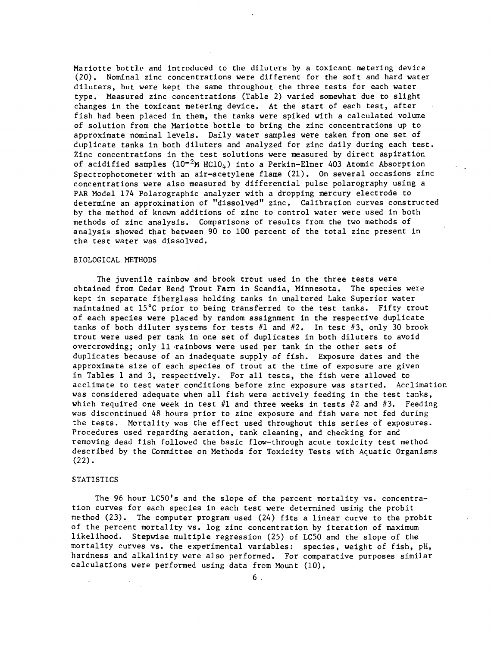Mariotte bottle and introduced to the diluters by a toxicant metering device (20). Nominal zinc concentrations were different for the soft and hard water diluters, but were kept the same throughout the three tests for each water type. Measured zinc concentrations (Table 2) varied somewhat due to slight changes in the toxicant metering device. At the start of each test, after fish had been placed in them, the tanks were spiked with a calculated volume of solution from the Mariotte bottle to bring the zinc concentrations up to approximate nominal levels. Daily water samples were taken from one set of duplicate tanks in both diluters and analyzed for zinc daily during each test. Zinc concentrations in the test solutions were measured by direct aspiration of acidified samples  $(10^{-2}$ M HC10<sub>4</sub>) into a Perkin-Elmer 403 Atomic Absorption Spectrophotometer-with an air-acetylene flame (21). On several occasions zinc concentrations were also measured by differential pulse polarography using a PAR Model 174 Polarographic analyzer with a dropping mercury electrode to determine an approximation of "dissolved" zinc. Calibration curves constructed by the method of known additions of zinc to control water were used in both methods of zinc analysis. Comparisons of results from the two methods of analysis showed that between 90 to 100 percent of the total zinc present in the test water was dissolved.

#### BIOLOGICAL METHODS

The juvenile rainbow and brook trout used in the three tests were obtained from Cedar Bend Trout Fann in Scandia, Minnesota. The species were kept in separate fiberglass holding tanks in unaltered Lake Superior water maintained at  $15^{\circ}$ C prior to being transferred to the test tanks. Fifty trout of each species were placed by random assignment in the respective duplicate tanks of both diluter systems for tests  $#1$  and  $#2$ . In test  $#3$ , only 30 brook trout were used per tank in one set of duplicates in both diluters to avoid overcrowding; only 11 rainbows were used per tank in the other sets of duplicates because of an inadequate supply of fish. Exposure dates and the approximate size of each species of trout at the time of exposure are given in Tables 1 and 3, respectively. For all tests, the fish were allowed to acclimate to test water conditions before zinc exposure was started. Acclimation was considered adequate when all fish were actively feeding in the test tanks, which required one week in test  $#1$  and three weeks in tests  $#2$  and  $#3$ . Feeding was discontinued 48 hours prior to zinc exposure and fish were not fed during the tests. Mortality was the effect used throughout this series of exposures. Procedures used regarding aeration, tank cleaning, and checking for and removing dead fish followed the basic flow-through acute toxicity test method described by the Committee on Methods for Toxicity Tests with Aquatic Organisms  $(22)$ .

#### **STATISTICS**

The 96 hour LC50's and the slope of the percent mortality vs. concentration curves for each species in each test were determined using the probit method (23). The computer program used (24) fits a linear curve to the probit of the percent mortality vs. log zinc concentration by iteration of maximum likelihood. Stepwise multiple regression (25) of LC50 and the slope of the mortality curves vs. the experimental variables: species, weight of fish, pH, hardness and alkalinity were also performed. For comparative purposes similar calculations were performed using data from Mount (10).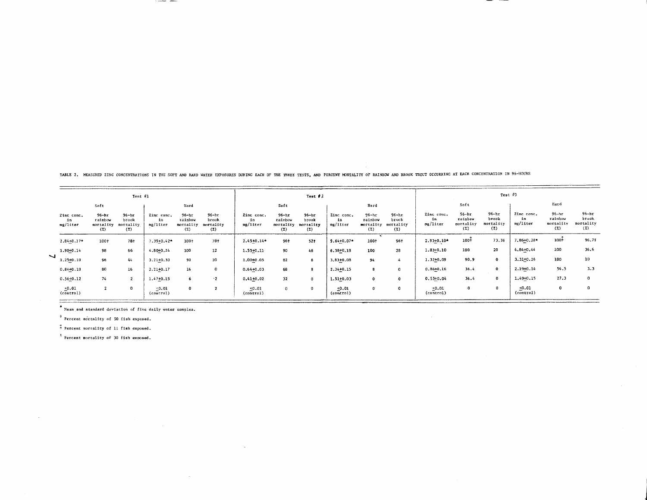|  | TABLE 2. MEASURED ZINC CONCENTRATIONS IN THE SOFT AND HARD WATER EXPOSURES DURING EACH OF THE THREE TESTS, AND PERCENT MORTALITY OF RAINBOW AND BROOK TROUT OCCURRING AT EACH CONCENTRATION IN 96-HOURS |  |
|--|---------------------------------------------------------------------------------------------------------------------------------------------------------------------------------------------------------|--|
|--|---------------------------------------------------------------------------------------------------------------------------------------------------------------------------------------------------------|--|

 $\sim$ 

 $\sim$ 

|                              |                                           | Test #1                                |                              |                                          |                                        |                                 |                                          | Test #2                            |                                 |                                          |                                        |                              |                                          | Test $\theta$ 3                        |                              |                                      |                                           |
|------------------------------|-------------------------------------------|----------------------------------------|------------------------------|------------------------------------------|----------------------------------------|---------------------------------|------------------------------------------|------------------------------------|---------------------------------|------------------------------------------|----------------------------------------|------------------------------|------------------------------------------|----------------------------------------|------------------------------|--------------------------------------|-------------------------------------------|
|                              | Soft                                      |                                        |                              | Hard                                     |                                        |                                 | Soft                                     |                                    |                                 | Hard                                     |                                        |                              | Soft                                     |                                        |                              | Hard                                 |                                           |
| Zinc conc.<br>1n<br>mg/liter | $96 - h$ r<br>rainbou<br>mortality<br>(7) | $96 - hr$<br>brook<br>mortality<br>(7) | Zinc conc.<br>1n<br>mg/liter | $96 - hT$<br>rainbow<br>mortality<br>(7) | $96 - hr$<br>brook<br>mortality<br>(7) | Zinc conc.<br>in<br>$mg/l$ iter | $96 - hr$<br>rainbow<br>mortality<br>(7) | 96-hr<br>brook<br>mortality<br>(7) | Zinc conc.<br>1n<br>$mg/11$ ter | $96 - hr$<br>rainbow<br>mortality<br>(2) | $96 - hr$<br>brook<br>mortality<br>(7) | Zinc conc.<br>1n<br>pg/liter | $96 - hr$<br>rainbow<br>mortality<br>(2) | $96 - hr$<br>brook<br>mortality<br>(2) | Zinc conc.<br>in<br>mg/liter | 96-hr<br>rainbow<br>mortality<br>(7) | $96 - h\tau$<br>brook<br>mortality<br>(2) |
| 2,84+0.17*                   | $100+$                                    | 78+                                    | 7.39+0.42*                   | 100+                                     | 781                                    | 2.4540.14*                      | 96+                                      | $52 +$                             | $9.64 + 0.07*$                  | 1001                                     | 961                                    | $2.93 - 0.10*$               | $100 +$                                  | 73.35                                  | 7.86+0.28*                   | 100 <sup>1</sup>                     | 96,75                                     |
| 1.90+0.14                    | 98                                        | 66                                     | 4.80+0.24                    | 100                                      | 12                                     | $1.55 + 0.11$                   | 90                                       | 46                                 | $6,58 + 0,18$                   | 100                                      | 28                                     | $1.83 + 0.10$                | 100                                      | 20                                     | 4,84+0,44                    | 100                                  | 36.6                                      |
| $1.25 + 0.10$                | 96                                        | 44                                     | $3.21 + 0.30$                | 90                                       | 10                                     | 1.00+0.05                       | 82                                       |                                    | 3.83+0.08                       | 94                                       |                                        | 1.32+0.09                    | 90.9                                     | $\mathbf{0}$                           | $3.31 + 0.26$                | 100                                  | 10 <sub>1</sub>                           |
| $0.84 + 0.10$                | 80                                        | 16                                     | 2.21+0.17                    | 16 <sub>1</sub>                          | $\mathbf{0}$                           | $0.64 + 0.03$                   | 68                                       |                                    | 2.34+0.15                       | 8                                        | $\Omega$                               | $0.86 + 0.16$                | 36.4                                     |                                        | 2.19-0.14                    | 54.5                                 | 3.3                                       |
| $0.56 + 0.12$                | 74                                        |                                        | 1,47+0,15                    | 6                                        | $\cdot$ 2                              | $0,41+0,02$                     | 32                                       | $\Omega$                           | 1.51+0.03                       | $\mathbf 0$                              | $\Omega$                               | $0.53 + 0.04$                | 36.4                                     |                                        | $1,49 - 0,15$                | 27.3                                 | $^{\circ}$                                |
| 0.01<br>(control)            | $\mathbf{z}$                              | 0                                      | 0.01<br>(control)            |                                          | $\mathbf{2}$                           | 0.01<br>(control)               | 0                                        |                                    | 0.01<br>(control)               | $\mathbf 0$                              | $\mathbf o$                            | $-0.01$<br>(control)         | 0                                        |                                        | 0.01<br>(control)            | $\bf o$                              | $\mathbf 0$                               |

\* Nean and standard deviation of five daily water samples.

The construction of the property

<sup>†</sup> Percent mortality of 50 fish exposed.

t Percent mortality of 11 fish exposed.

 $\frac{2}{3}$  Percent mortality of 30 fish exposed.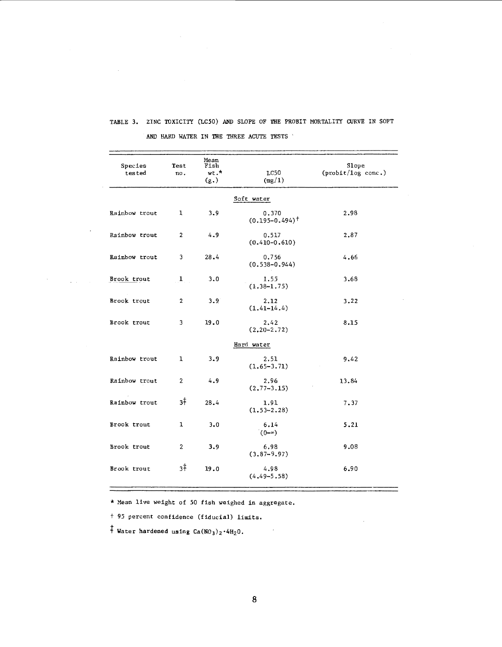| Species<br>tested | Test<br>no.    | Mean<br>Fish<br>wt."<br>(g.) | $_{\rm LC50}$<br>(mg/1)      | Slope<br>(probit/log conc.) |
|-------------------|----------------|------------------------------|------------------------------|-----------------------------|
|                   |                |                              | Soft water                   |                             |
| Rainbow trout     | ı              | 3.9                          | 0.370<br>$(0.195 - 0.494)^+$ | 2.98                        |
| Rainbow trout     | $\overline{2}$ | 4.9                          | 0.517<br>$(0.410 - 0.610)$   | 2,87                        |
| Rainbow trout     | 3              | 28.4                         | 0.756<br>$(0.538 - 0.944)$   | 4.66                        |
| Brook trout       | 1              | 3.0                          | 1.55<br>$(1.38 - 1.75)$      | 3.68                        |
| Brook trout       | $\overline{2}$ | 3.9                          | 2.12<br>$(1, 41-14, 4)$      | 3.22                        |
| Brook trout       | 3              | 19.0                         | 2.42<br>$(2, 20 - 2, 72)$    | 8.15                        |
|                   |                |                              | Hard water                   |                             |
| Rainbow trout     | ı              | 3.9                          | 2.51<br>$(1,65-3.71)$        | 9.42                        |
| Rainbow trout     | $\overline{2}$ | 4.9                          | 2.96<br>$(2, 77 - 3.15)$     | 13.84                       |
| Rainbow trout     | зŧ             | 28.4                         | 1.91<br>$(1.53 - 2.28)$      | 7.37                        |
| Brook trout       | $\mathbf{1}$   | 3.0                          | 6.14<br>$(0 - \infty)$       | 5.21                        |
| Brook trout       | $\overline{2}$ | 3.9                          | 6.98<br>$(3.87 - 9.97)$      | 9.08                        |
| Brook trout       | 3‡             | 19.0                         | 4.98<br>$(4, 49 - 5, 58)$    | 6.90                        |

## TABLE 3. ZINC TOXICITY (LC50) AND SLOPE OF THE PROBIT MORTALITY CURVE IN SOFT AND HARD WATER IN THE THREE ACUTE TESTS '

 $\sim$ 

 $\sim$   $\omega$ 

 $\sigma_{\rm{max}}$  and  $\sigma_{\rm{max}}$ 

<sup>~</sup>Mean live weight of *50* fish weighed in aggregate,

t 95 percent confidence (fiducial) limits.

 $\dagger$  Water hardened using Ca(NO<sub>3</sub>)<sub>2</sub>.4H<sub>2</sub>O.

 $\boldsymbol{\cdot}$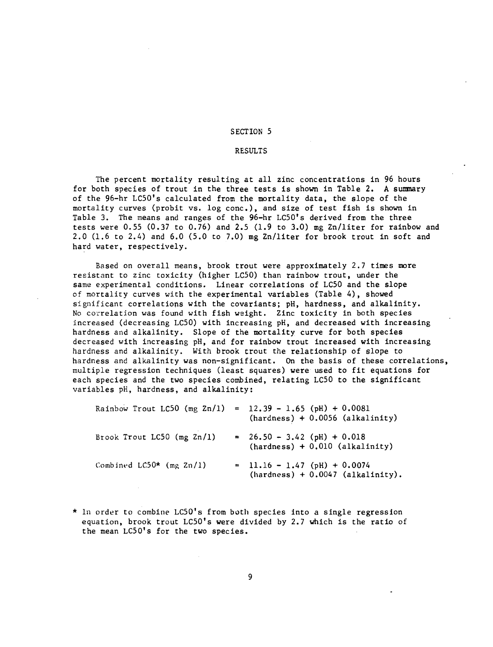#### RESULTS

The percent mortality resulting at all zinc concentrations in 96 hours for both species of trout in the three tests is shown in Table 2. A sumnary of the 96-hr LC50's calculated from the mortality data, the slope of the mortality curves (probit vs. log cone.), and size of test fish is shown in Table 3. The means and ranges of the 96-hr LC50's derived from the three tests were 0.55 (0.37 to 0.76) and 2.5 (1.9 to 3.0) mg Zn/liter for rainbow and 2.0 (1.6 to 2.4) and 6.0 (5.0 to 7.0) mg Zn/liter for brook trout in soft and hard water, respectively.

Based on overall means, brook trout were approximately 2.7 times more resistant to zinc toxicity (higher LC50) than rainbow trout, under the same experimental conditions. Linear correlations of LC50 and the slope of mortality curves with the experimental variables (Table 4), showed significant correlations with the covariants; pH, hardness, and alkalinity. No correlation was found with fish weight. Zinc toxicity in both species increased (decreasing LC50) with increasing pH, and decreased with increasing hardness and alkalinity. Slope of the mortality curve for both species decreased with increasing pH, and for rainbow trout increased with increasing hardness and alkalinity. With brook trout the relationship of slope to hardness and alkalinity was non-significant. On the basis of these correlations, multiple regression techniques (least squares) were used to fit equations for each species and the two species combined, relating LC50 to the significant variables pH, hardness, and alkalinity:

| Rainbow Trout LC50 (mg $2n/1$ ) = 12.39 - 1.65 (pH) + 0.0081 | $(hardness) + 0.0056 (alkalinity)$                                    |
|--------------------------------------------------------------|-----------------------------------------------------------------------|
| Brook Trout LC50 (mg Zn/1)                                   | $= 26.50 - 3.42$ (pH) + 0.018<br>$(hardness) + 0.010 (alkalinity)$    |
| Combined $LC50*$ (mg $Zn/1$ )                                | $= 11.16 - 1.47$ (pH) + 0.0074<br>$(hardness) + 0.0047 (alkalinity).$ |

\* In order to combine LC50's from both species into a single regression equation, brook trout LC50's were divided by 2.7 which is the ratio of the mean LC50's for the two species.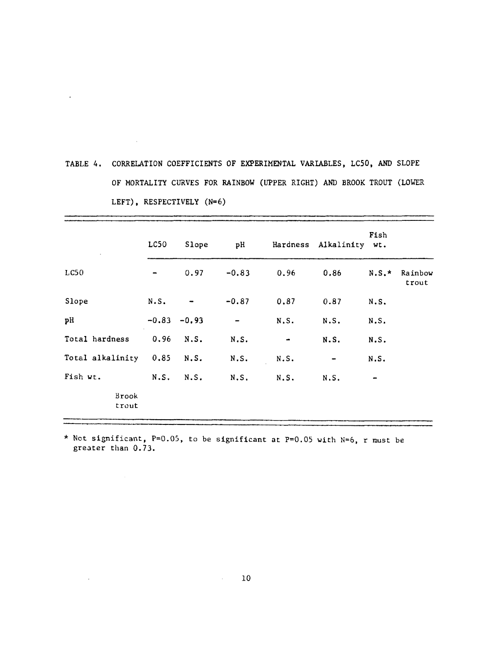| TABLE 4. CORRELATION COEFFICIENTS OF EXPERIMENTAL VARIABLES, LC50, AND SLOPE |
|------------------------------------------------------------------------------|
| OF MORTALITY CURVES FOR RAINBOW (UPPER RIGHT) AND BROOK TROUT (LOWER         |
| LEFT), RESPECTIVELY $(N=6)$                                                  |

 $\sim 10^{-10}$ 

 $\mathcal{L}^{\text{max}}_{\text{max}}$  , where  $\mathcal{L}^{\text{max}}_{\text{max}}$ 

 $\label{eq:1} \mathbf{x} = \mathbf{y} + \mathbf{y}$ 

|                       | LC50 | Slope          | pH      |                | Hardness Alkalinity wt. | Fish    |                  |
|-----------------------|------|----------------|---------|----------------|-------------------------|---------|------------------|
|                       |      |                |         |                |                         |         |                  |
| L <sub>CS0</sub>      |      | 0.97           | $-0.83$ | 0.96           | 0.86                    | $N.S.*$ | Rainbow<br>trout |
| Slope                 | N.S. |                | $-0.87$ | 0.87           | 0.87                    | N.S.    |                  |
| pH                    |      | $-0.83 - 0.93$ |         | N.S.           | N.S.                    | N.S.    |                  |
| Total hardness        | 0.96 | N.S.           | N.S.    | $\blacksquare$ | N.S.                    | N.S.    |                  |
| Total alkalinity 0.85 |      | N.S.           | N.S.    | N.S.           | $\blacksquare$          | N.S.    |                  |
| Fish wt.              | N.S. | N.S.           | N.S.    | N.S.           | N.S.                    |         |                  |
| Brook<br>trout        |      |                |         |                |                         |         |                  |

\* Not significant, P=0.05, to be significant at P=0.05 with N=6, r must be greater than 0.73.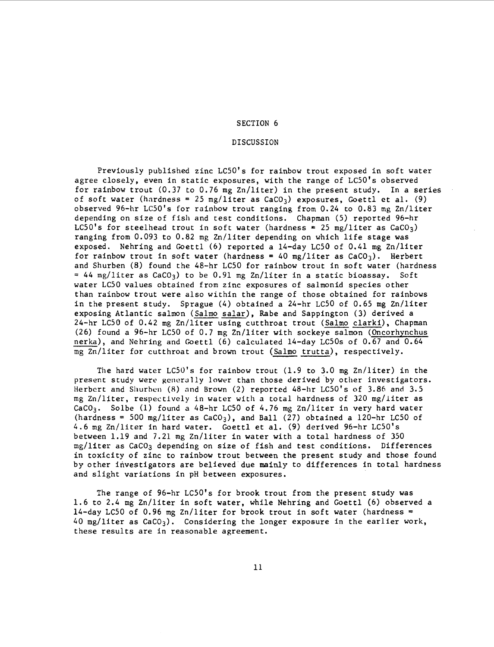#### DISCUSSION

Previously published zinc LC50's for rainbow trout exposed in soft water agree closely, even in static exposures, with the range of LC50's observed for rainbow trout (0.37 to 0.76 mg Zn/liter) in the present study. In a series of soft water (hardness = 25 mg/liter as  $CaCO<sub>3</sub>$ ) exposures, Goettl et al. (9) observed 96-hr LC50's for rainbow trout ranging from 0.24 to 0.83 mg Zn/liter depending on size of fish and test conditions. Chapman (5) reported 96-hr LC50's for steelhead trout in soft water (hardness = 25 mg/liter as CaCO<sub>3</sub>) ranging from 0.093 to 0.82 mg Zn/liter depending on which life stage was exposed. Nehring and Goettl (6) reported a 14-day LC50 of 0.41 mg Zn/liter for rainbow trout in soft water (hardness = 40 mg/liter as  $CaCO<sub>3</sub>$ ). Herbert and Shurben (8) found the 48-hr LC50 for rainbow trout in soft water (hardness  $=$  44 mg/liter as CaCO<sub>3</sub>) to be 0.91 mg Zn/liter in a static bioassay. Soft water LC50 values obtained from zinc exposures of salmonid species other than rainbow trout were also within the range of those obtained for rainbows in the present study. Sprague (4) obtained a 24-hr LC50 of 0.65 mg Zn/liter exposing Atlantic salmon (Salmo salar), Rabe and Sappington (3) derived a 24-hr LC50 of 0.42 mg Zn/liter using cutthroat trout (Salmo clarki), Chapman (26) found a 96-hr LC50 of 0.7 mg Zn/liter with sockeye salmon (Oncorhynchus nerka), and Nehring and Goettl (6) calculated 14-day LC50s of 0.67 and 0.64 mg Zn/liter for cutthroat and brown trout (Salmo trutta), respectively.

The hard water  $LC50'$ 's for rainbow trout (1.9 to 3.0 mg Zn/liter) in the present study were generally lower than those derived by other investigators. Herbert and Shurben (8) and Brown (2) reported 48-hr LC50's of 3.86 and 3.5 mg Zn/liter, respectively in water with a total hardness of 320 mg/liter as CaCO<sub>3</sub>. Solbe (1) found a 48-hr LC50 of 4.76 mg Zn/liter in very hard water (hardness = 500 mg/liter as  $CaCO<sub>3</sub>$ ), and Ball (27) obtained a 120-hr LC50 of 4.6 mg Zn/liter in hard water. Goettl et al. (9) derived 96-hr LC50's between 1.19 and 7.21 mg Zn/liter in water with a total hardness of 350 mg/liter as CaC03 depending on size of fish and test conditions. Differences in toxicity of zinc to rainbow trout between the present study and those found by other investigators are believed due mainly to differences in total hardness and slight variations in pH between exposures.

The range of 96-hr LC50's for brook trout from the present study was 1.6 to 2.4 mg Zn/liter in soft water, while Nehring and Goettl (6) observed a  $14$ -day LC50 of 0.96 mg Zn/liter for brook trout in soft water (hardness = 40 mg/liter as  $CaCO<sub>3</sub>$ ). Considering the longer exposure in the earlier work, these results are in reasonable agreement.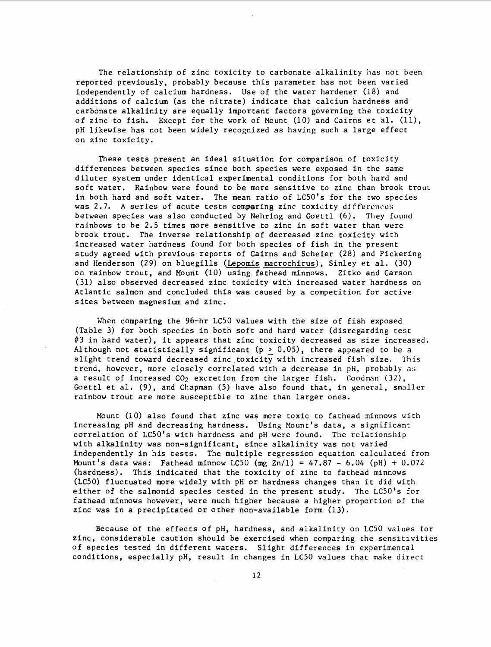The relationship of zinc toxicity to carbonate alkalinity has not been reported previously, probably because this parameter has not been varied independently of calcium hardness. Use of the water hardener (18) and additions of calcium (as the nitrate) indicate that calcium hardness and carbonate alkalinity are equally important factors governing the toxicity of zinc to fish. Except for the work of Mount (10) and Cairns et al. (11), pH likewise has not been widely recognized as having such a large effect on zinc toxicity.

These tests present an ideal situation for comparison of toxicity d:lfferences between species since both species were exposed in the same d:lluter system under identical experimental conditions for both hard and soft water. Rainbow were found to be more sensitive to zinc than brook trout in both hard and soft water. The mean ratio of LC50's for the two species was 2.7. A series of acute tests comparing zinc toxicity differences between species was also conducted by Nehring and Goettl (6). They found rainbows to be 2.5 times more sensitive to zinc in soft water than were brook trout. The inverse relationship of decreased zinc toxicity with increased water hardness found for both species of fish in the present study agreed with previous reports of Cairns and Scheier (28) and Pickering and Henderson (29) on bluegills (Lepomis macrochirus), Sinley et al. (30) on rainbow trout, and Mount (10) using fathead minnows. Zitko and Carson (31) also observed decreased zinc toxicity with increased water hardness on Atlantic salmon and concluded this was caused by a competition for active sites between magnesium and zinc.

When comparing the 96-hr LC50 values with the size of fish exposed (Table 3) for both species in both soft and hard water (disregarding test #3 in hard water), it appears that zinc toxicity decreased as size increased. Although not statistically significant ( $p > 0.05$ ), there appeared to be a slight trend toward decreased zinc toxicity with increased fish size. This trend, however, more closely correlated with a decrease in pH, probably 3s a result of increased  $CO<sub>2</sub>$  excretion from the larger fish. Goodman  $(32)$ , Goettl et al. (9), and Chapman (5) have also found that, in general, smaller rainbow trout are more susceptible to zinc than larger ones.

Mount (10) also found that zinc was more toxic to fathead minnows with increasing pH and decreasing hardness. Using Mount's data, a significant correlation of LC50's with hardness and pH were found. The relationship with alkalinity was non-significant, since alkalinity was not varied independently in his tests. The multiple regression equation calculated from Mount's data was: Fathead minnow LC50 (mg  $2n/1$ ) = 47.87 - 6.04 (pH) + 0.072 (hardness). This indicated that the toxicity of zinc to fathead minnows (LCSO) fluctuated more widely with pH or hardness changes than it did with either of the salmonid species tested in the present study. The LC50's for fathead minnows however, were much higher because a higher proportion of the zinc was in a precipitated or other non-available form (13).

Because of the effects of pH, hardness, and alkalinity on LCSO values for zinc, considerable caution should be exercised when comparing the sensitivities of species tested in different waters. Slight differences in experimental conditions, especially pH, result in changes in LCSO values that make direct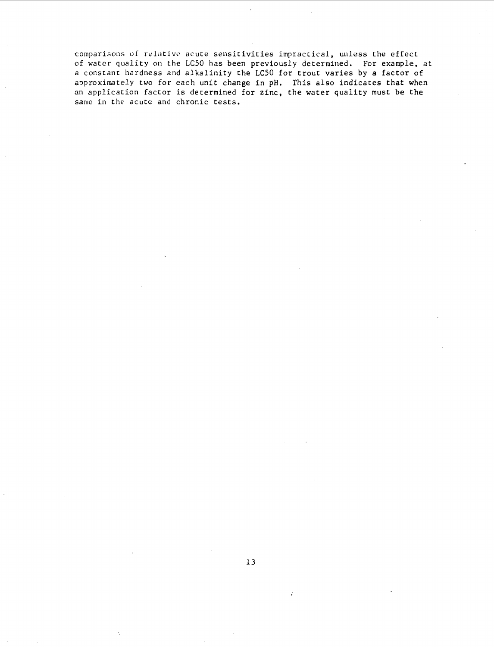comparisons of relative acute sensitivities impractical, unless the effect of water quality on the LC50 has been previously determined. For example, at a constant hardness and alkalinity the LC50 for trout varies by *a* factor of approximately two for each unit change in pH. This also indicates that when in application factor is determined for zinc, the water quality must be the same in the acute and chronic tests.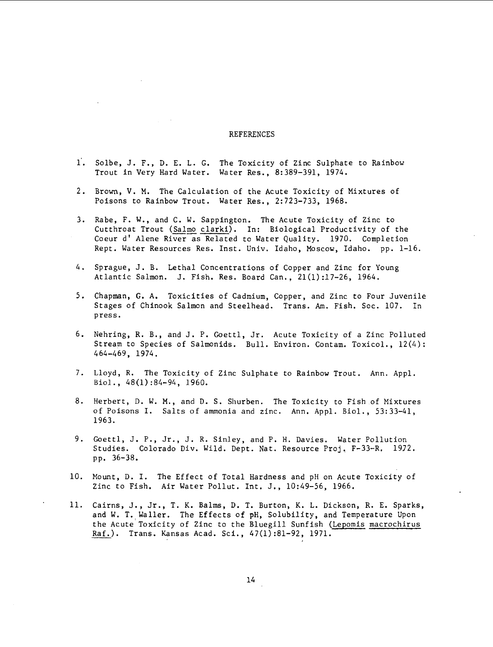#### **REFERENCES**

- i'. Solbe, J. F., D. E. L. G. The Toxicity of Zinc Sulphate to Rainbow Trout in Very Hard Water. Water Res., 8:389-391, 1974.
- 2. Brown, V. M. The Calculation of the Acute Toxicity of Mixtures of Poisons to Rainbow Trout. Water Res., 2:723-733, 1968.
- 3. Rabe, F. W., and C. W. Sappington. The Acute Toxicity of Zinc to Cutthroat Trout (Salmo clarki). In: Biological Productivity of the Coeur d' Alene River as Related to Water Quality. 1970. Completion Rept. Water Resources Res. Inst. Univ. Idaho, Moscow, Idaho. pp. 1-16.
- 4. Sprague, J.B. Lethal Concentrations of Copper and Zinc for Young Atlantic Salmon. J. Fish. Res. Board Can., 21(1):17-26, 1964.
- 5. Chapman, G. A. Toxicities of Cadmium, Copper, and Zinc to Four Juvenile Stages of Chinook Salmon and Steelhead. Trans. Am. Fish. Soc. 107. In press.
- 6. Nehring, R. B., and J. P. Goettl, Jr. Acute Toxicity of a Zinc Polluted Stream to Species of Salmonids. Bull. Environ. Contam. Toxicol., 12(4): 464-469, 1974.
- 7. Lloyd, R. The Toxicity of Zinc Sulphate to Rainbow Trout. Ann. Appl. Biol., 48(1):84-94, 1960.
- 8. Herbert, D. W. M., and D.S. Shurben. The Toxicity to Fish of Mixtures of Poisons I. Salts of ammonia and zinc. Ann. Appl. Biol., 53:33-41, 1963.
- 9. Goettl, J. P., Jr., J. R. Sinley, and P. H. Davies. Water Pollution Studies. Colorado Div. Wild. Dept. Nat. Resource Proj, F-33-R, 1972. pp. 36-38.
- 10. Mount, D. I. The Effect of Total Hardness and pH on Acute Toxicity of Zinc to Fish. Air Water Pollut. Int. J,, 10:49-56, 1966,
- 11. Cairns, J., Jr., T. K. Balms, D. T. Burton, K. L. Dickson, R. E. Sparks, and W. T. Waller. The Effects of pH, Solubility, and Temperature Upon the Acute Toxicity of Zinc to the Bluegill Sunfish (Lepomis macrochirus Raf.). Trans. Kansas Acad. Sci., 47(1):81-92, 1971.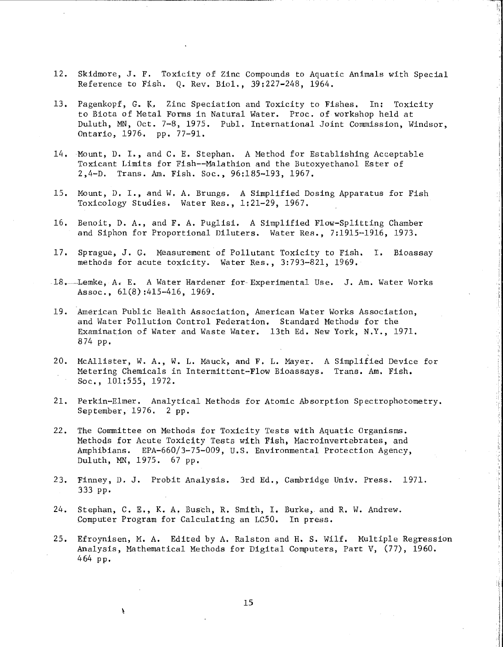12. Skidmore, J. F. Toxicity of Zinc Compounds to Aquatic Animals with Special Reference to Fish. Q. Rev. Biol., 39:227-248, 1964.

k "I

- 13. Pagenkopf, G. K. Zinc Speciation and Toxicity to Fishes. In: Toxicity to Biota of Metal Forms in Natural Water. Proc. of workshop held at Duluth, MN, Oct. 7-8, 1975. Publ. International Joint Commission, Windsor, Ontario, 1976. pp. 77-91.
- 14, Mount, D. I., and C, E. Stephan. A Method for Establishing Acceptable Toxicant Limits for Fish--Malathion and the Butoxyethanol Ester of 2,4-D. Trans. Am. Fish. Soc., 96:185-193, 1967.
- 15, Mount, D. I., and W, A. Brungs, A Simplified Dosing Apparatus for Fish Toxicology Studies, Water Res,, 1:21-29, 1967.
- 16. Benoit, D. A., and F. A. Puglisi. A Simplified Flow-Splitting Chamber and Siphon for Proportional Diluters. Water Res., 7:1915-1916, 1973.
- 17. Sprague, J. G. Measurement of Pollutant Toxicity to Fish, I. Bioassay methods for acute toxicity. Water Res,, 3:793-821, 1969,
- 18. Lemke, A. E. A Water Hardener for-Experimental Use. J. Am. Water Works Assoc., 61(8) :415-416, 1969.
- 19. American Public Health Association, American Water Works Association, and Water Pollution Control Federation. Standard Methods for the Examination of Water and Waste Water. 13th Ed. New York, N.Y., 1971. 874 pp.
- 20. McAllister, W. A., W. L. Mauck, and F, L. Mayer. A Simplified Device for Metering Chemicals in Intermittent-Flow Bioassays. Trans. Am. Fish. Soc,, 101:555, 1972.
- 21. Perkin-Elmer, Analytical Methods for Atomic Absorption Spectrophotometry. September, 1976. 2 pp.
- 22. The Committee on Methods for Toxicity Tests with Aquatic Organisms. Methods for Acute Toxicity Tests with Fish, Macroinvertebrates, and Amphibians. EPA-660/3-75-009, U.S. Environmental Protection Agency, Duluth, MN, 1975. 67 pp.
- 23. Finney, D. J. Probit Analysis. 3rd Ed., Cambridge Univ. Press. 1971. 333 PP•
- 24. Stephan, C. E., K. A. Busch, R. Smith, I. Burke, and R. W. Andrew. Computer Program for Calculating an LC50. In press.

Ą

25. Efroynisen, M. A. Edited by A. Ralston and H. S. Wilf. Multiple Regression Analysis, Mathematical Methods for Digital Computers, Part V, (77), 1960. 464 pp.

15